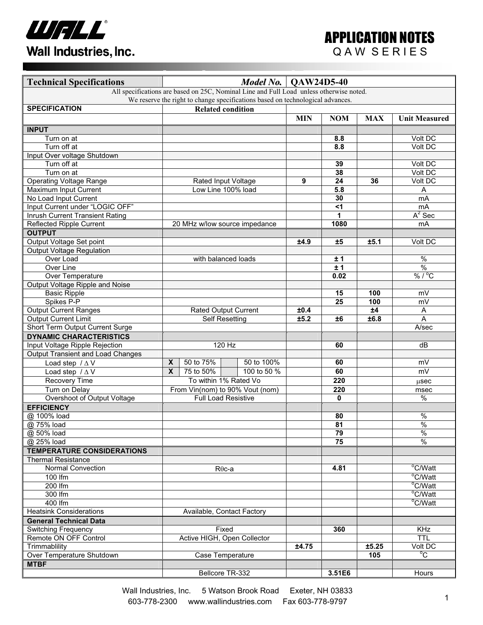

| <b>Technical Specifications</b>                                                                                                                                           | Model No.<br><b>QAW24D5-40</b>            |                            |                               |            |                      |            |                          |
|---------------------------------------------------------------------------------------------------------------------------------------------------------------------------|-------------------------------------------|----------------------------|-------------------------------|------------|----------------------|------------|--------------------------|
| All specifications are based on 25C, Nominal Line and Full Load unless otherwise noted.<br>We reserve the right to change specifications based on technological advances. |                                           |                            |                               |            |                      |            |                          |
| <b>SPECIFICATION</b>                                                                                                                                                      | <b>Related condition</b>                  |                            |                               |            |                      |            |                          |
|                                                                                                                                                                           |                                           |                            |                               | <b>MIN</b> | <b>NOM</b>           | <b>MAX</b> | <b>Unit Measured</b>     |
|                                                                                                                                                                           |                                           |                            |                               |            |                      |            |                          |
| <b>INPUT</b>                                                                                                                                                              |                                           |                            |                               |            |                      |            |                          |
| Turn on at                                                                                                                                                                |                                           |                            |                               |            | 8.8                  |            | Volt DC                  |
| Turn off at                                                                                                                                                               |                                           |                            |                               |            | 8.8                  |            | Volt DC                  |
| Input Over voltage Shutdown                                                                                                                                               |                                           |                            |                               |            |                      |            |                          |
| Turn off at                                                                                                                                                               |                                           |                            |                               |            | 39                   |            | Volt DC                  |
| Turn on at                                                                                                                                                                |                                           |                            |                               |            | 38                   |            | Volt DC                  |
| <b>Operating Voltage Range</b>                                                                                                                                            | Rated Input Voltage<br>Low Line 100% load |                            |                               | 9          | 24                   | 36         | Volt DC                  |
| Maximum Input Current                                                                                                                                                     |                                           |                            |                               |            | 5.8                  |            | Α                        |
| No Load Input Current                                                                                                                                                     |                                           |                            |                               |            | 30<br>$\overline{5}$ |            | mA                       |
| Input Current under "LOGIC OFF"                                                                                                                                           |                                           |                            |                               |            |                      |            | mA                       |
| Inrush Current Transient Rating                                                                                                                                           |                                           |                            |                               |            | 1                    |            | $A^2$ Sec                |
| <b>Reflected Ripple Current</b>                                                                                                                                           |                                           |                            | 20 MHz w/low source impedance |            | 1080                 |            | mA                       |
| <b>OUTPUT</b>                                                                                                                                                             |                                           |                            |                               |            |                      |            |                          |
| Output Voltage Set point                                                                                                                                                  |                                           |                            |                               | ±4.9       | ±5                   | ±5.1       | Volt DC                  |
| <b>Output Voltage Regulation</b>                                                                                                                                          |                                           |                            |                               |            |                      |            |                          |
| Over Load                                                                                                                                                                 |                                           | with balanced loads        |                               |            | ±1                   |            | $\overline{\frac{0}{0}}$ |
| Over Line                                                                                                                                                                 |                                           |                            |                               |            | ±1                   |            | $\overline{\frac{9}{6}}$ |
| Over Temperature                                                                                                                                                          |                                           |                            |                               |            | 0.02                 |            | % / °C                   |
| Output Voltage Ripple and Noise                                                                                                                                           |                                           |                            |                               |            |                      |            |                          |
| <b>Basic Ripple</b>                                                                                                                                                       |                                           |                            |                               |            | 15                   | 100        | mV                       |
| Spikes P-P                                                                                                                                                                |                                           |                            |                               |            | 25                   | 100        | mV                       |
| <b>Output Current Ranges</b>                                                                                                                                              | Rated Output Current                      |                            |                               | ±0.4       |                      | ±4         | A                        |
| <b>Output Current Limit</b>                                                                                                                                               | <b>Self Resetting</b>                     |                            |                               | ±5.2       | ±6                   | ±6.8       | A                        |
| Short Term Output Current Surge                                                                                                                                           |                                           |                            |                               |            |                      |            | A/sec                    |
| <b>DYNAMIC CHARACTERISTICS</b>                                                                                                                                            |                                           |                            |                               |            |                      |            |                          |
| Input Voltage Ripple Rejection                                                                                                                                            |                                           | 120 Hz                     |                               |            | 60                   |            | dB                       |
| <b>Output Transient and Load Changes</b>                                                                                                                                  |                                           |                            |                               |            |                      |            |                          |
| Load step $/\Delta V$                                                                                                                                                     | $\mathbf{x}$                              | 50 to 75%                  | 50 to 100%                    |            | 60                   |            | mV                       |
| Load step $/\Delta V$                                                                                                                                                     | $\overline{\mathbf{x}}$                   | 75 to 50%                  | 100 to 50 %                   |            | 60                   |            | mV                       |
| Recovery Time                                                                                                                                                             |                                           | To within 1% Rated Vo      |                               |            | 220                  |            | usec                     |
| Turn on Delay                                                                                                                                                             | From Vin(nom) to 90% Vout (nom)           |                            |                               |            | 220                  |            | msec                     |
| Overshoot of Output Voltage                                                                                                                                               |                                           | <b>Full Load Resistive</b> |                               |            | 0                    |            | $\%$                     |
| <b>EFFICIENCY</b>                                                                                                                                                         |                                           |                            |                               |            |                      |            |                          |
| @ 100% load                                                                                                                                                               |                                           |                            |                               |            | 80                   |            | $\%$                     |
| @ 75% load                                                                                                                                                                |                                           |                            |                               |            | 81                   |            | $\overline{\frac{9}{6}}$ |
| @ 50% load                                                                                                                                                                |                                           |                            |                               |            | 79                   |            | $\%$                     |
| @ 25% load                                                                                                                                                                |                                           |                            |                               |            | 75                   |            | $\frac{0}{6}$            |
| <b>TEMPERATURE CONSIDERATIONS</b>                                                                                                                                         |                                           |                            |                               |            |                      |            |                          |
| <b>Thermal Resistance</b>                                                                                                                                                 |                                           |                            |                               |            |                      |            |                          |
| <b>Normal Convection</b>                                                                                                                                                  | $R\theta$ c-a                             |                            |                               |            | 4.81                 |            | $\overline{C/W}$ att     |
| 100 lfm                                                                                                                                                                   |                                           |                            |                               |            |                      |            | °C/Watt                  |
| 200 lfm                                                                                                                                                                   |                                           |                            |                               |            |                      |            | °C/Watt                  |
| 300 lfm                                                                                                                                                                   |                                           |                            |                               |            |                      |            | °C/Watt                  |
| 400 lfm                                                                                                                                                                   |                                           |                            |                               |            |                      |            | °C/Watt                  |
| <b>Heatsink Considerations</b>                                                                                                                                            |                                           | Available, Contact Factory |                               |            |                      |            |                          |
| <b>General Technical Data</b>                                                                                                                                             |                                           |                            |                               |            |                      |            |                          |
| <b>Switching Frequency</b>                                                                                                                                                | Fixed                                     |                            |                               |            | 360                  |            | <b>KHz</b>               |
| Remote ON OFF Control                                                                                                                                                     | Active HIGH, Open Collector               |                            |                               |            |                      |            | <b>TTL</b>               |
| Trimmablility                                                                                                                                                             |                                           |                            |                               | ±4.75      |                      | ±5.25      | Volt DC                  |
| Over Temperature Shutdown                                                                                                                                                 | Case Temperature                          |                            |                               |            |                      | 105        | $\overline{C}$           |
| <b>MTBF</b>                                                                                                                                                               |                                           |                            |                               |            |                      |            |                          |
|                                                                                                                                                                           | Bellcore TR-332                           |                            |                               |            | 3.51E6               |            | Hours                    |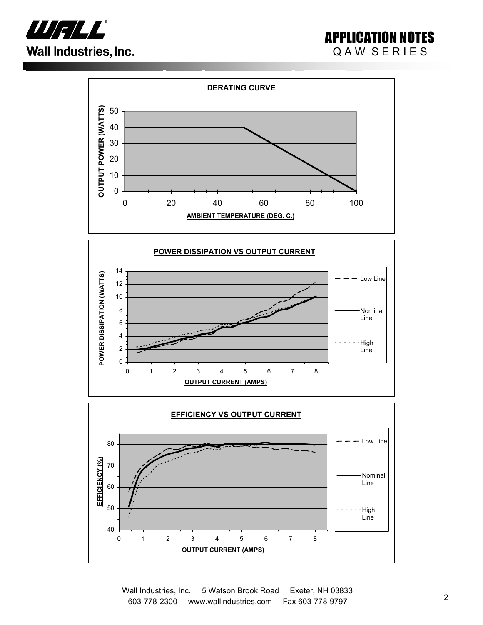

## APPLICATION NOTES QAW SERIES